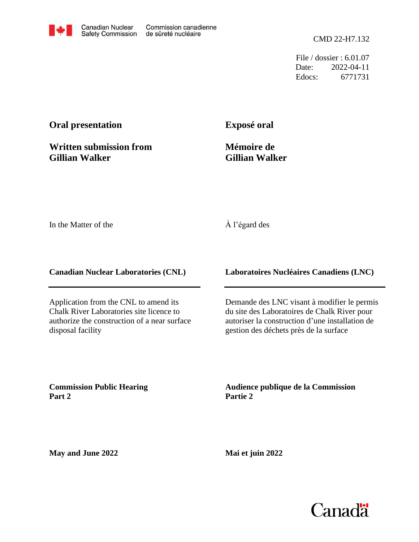File / dossier : 6.01.07 Date: 2022-04-11 Edocs: 6771731

# **Oral presentation**

**Written submission from Gillian Walker**

**Exposé oral**

**Mémoire de Gillian Walker**

In the Matter of the

## À l'égard des

**Canadian Nuclear Laboratories (CNL)**

Application from the CNL to amend its Chalk River Laboratories site licence to authorize the construction of a near surface disposal facility

**Laboratoires Nucléaires Canadiens (LNC)**

Demande des LNC visant à modifier le permis du site des Laboratoires de Chalk River pour autoriser la construction d'une installation de gestion des déchets près de la surface

**Commission Public Hearing Part 2**

**Audience publique de la Commission Partie 2**

**May and June 2022**

**Mai et juin 2022**

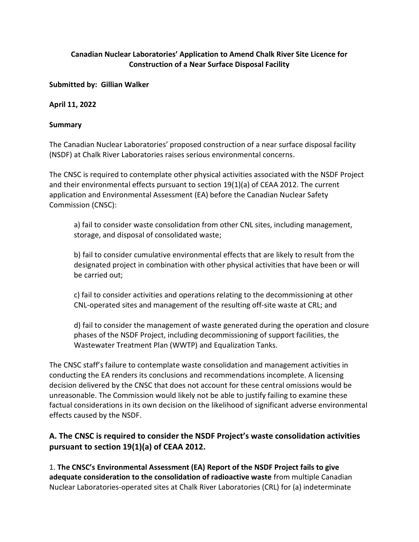### Canadian Nuclear Laboratories' Application to Amend Chalk River Site Licence for Construction of a Near Surface Disposal Facility

Submitted by: Gillian Walker

April 11, 2022

#### Summary

The Canadian Nuclear Laboratories' proposed construction of a near surface disposal facility (NSDF) at Chalk River Laboratories raises serious environmental concerns.

The CNSC is required to contemplate other physical activities associated with the NSDF Project and their environmental effects pursuant to section 19(1)(a) of CEAA 2012. The current application and Environmental Assessment (EA) before the Canadian Nuclear Safety Commission (CNSC):

a) fail to consider waste consolidation from other CNL sites, including management, storage, and disposal of consolidated waste;

b) fail to consider cumulative environmental effects that are likely to result from the designated project in combination with other physical activities that have been or will be carried out;

c) fail to consider activities and operations relating to the decommissioning at other CNL-operated sites and management of the resulting off-site waste at CRL; and

d) fail to consider the management of waste generated during the operation and closure phases of the NSDF Project, including decommissioning of support facilities, the Wastewater Treatment Plan (WWTP) and Equalization Tanks.

The CNSC staff's failure to contemplate waste consolidation and management activities in conducting the EA renders its conclusions and recommendations incomplete. A licensing decision delivered by the CNSC that does not account for these central omissions would be unreasonable. The Commission would likely not be able to justify failing to examine these factual considerations in its own decision on the likelihood of significant adverse environmental effects caused by the NSDF.

# A. The CNSC is required to consider the NSDF Project's waste consolidation activities pursuant to section 19(1)(a) of CEAA 2012.

1. The CNSC's Environmental Assessment (EA) Report of the NSDF Project fails to give adequate consideration to the consolidation of radioactive waste from multiple Canadian Nuclear Laboratories-operated sites at Chalk River Laboratories (CRL) for (a) indeterminate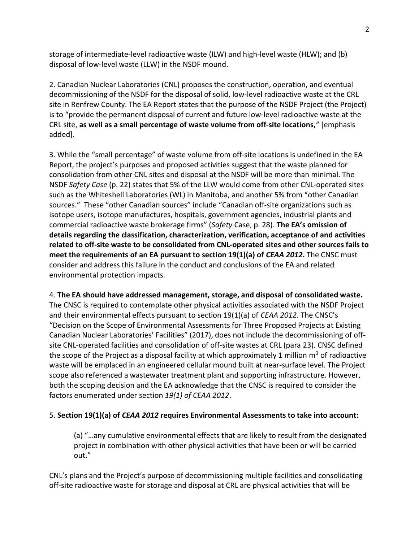storage of intermediate-level radioactive waste (ILW) and high-level waste (HLW); and (b) disposal of low-level waste (LLW) in the NSDF mound.

2. Canadian Nuclear Laboratories (CNL) proposes the construction, operation, and eventual decommissioning of the NSDF for the disposal of solid, low-level radioactive waste at the CRL site in Renfrew County. The EA Report states that the purpose of the NSDF Project (the Project) is to "provide the permanent disposal of current and future low-level radioactive waste at the CRL site, as well as a small percentage of waste volume from off-site locations," [emphasis added].

3. While the "small percentage" of waste volume from off-site locations is undefined in the EA Report, the project's purposes and proposed activities suggest that the waste planned for consolidation from other CNL sites and disposal at the NSDF will be more than minimal. The NSDF Safety Case (p. 22) states that 5% of the LLW would come from other CNL-operated sites such as the Whiteshell Laboratories (WL) in Manitoba, and another 5% from "other Canadian sources." These "other Canadian sources" include "Canadian off-site organizations such as isotope users, isotope manufactures, hospitals, government agencies, industrial plants and commercial radioactive waste brokerage firms" (Safety Case, p. 28). The EA's omission of details regarding the classification, characterization, verification, acceptance of and activities related to off-site waste to be consolidated from CNL-operated sites and other sources fails to meet the requirements of an EA pursuant to section 19(1)(a) of CEAA 2012. The CNSC must consider and address this failure in the conduct and conclusions of the EA and related environmental protection impacts.

## 4. The EA should have addressed management, storage, and disposal of consolidated waste. The CNSC is required to contemplate other physical activities associated with the NSDF Project and their environmental effects pursuant to section 19(1)(a) of CEAA 2012. The CNSC's "Decision on the Scope of Environmental Assessments for Three Proposed Projects at Existing Canadian Nuclear Laboratories' Facilities" (2017), does not include the decommissioning of offsite CNL-operated facilities and consolidation of off-site wastes at CRL (para 23). CNSC defined the scope of the Project as a disposal facility at which approximately 1 million  $m^3$  of radioactive waste will be emplaced in an engineered cellular mound built at near-surface level. The Project scope also referenced a wastewater treatment plant and supporting infrastructure. However, both the scoping decision and the EA acknowledge that the CNSC is required to consider the factors enumerated under section 19(1) of CEAA 2012.

## 5. Section 19(1)(a) of CEAA 2012 requires Environmental Assessments to take into account:

(a) "…any cumulative environmental effects that are likely to result from the designated project in combination with other physical activities that have been or will be carried out."

CNL's plans and the Project's purpose of decommissioning multiple facilities and consolidating off-site radioactive waste for storage and disposal at CRL are physical activities that will be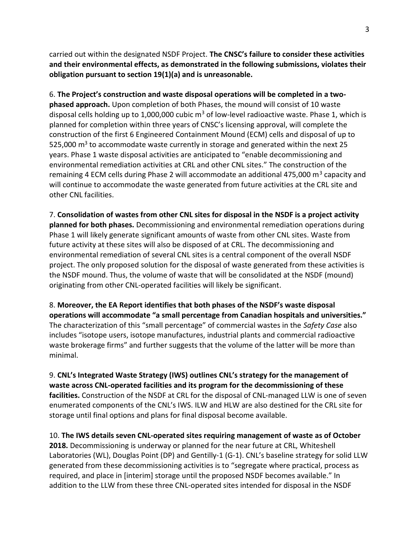carried out within the designated NSDF Project. The CNSC's failure to consider these activities and their environmental effects, as demonstrated in the following submissions, violates their obligation pursuant to section 19(1)(a) and is unreasonable.

6. The Project's construction and waste disposal operations will be completed in a twophased approach. Upon completion of both Phases, the mound will consist of 10 waste disposal cells holding up to 1,000,000 cubic  $m^3$  of low-level radioactive waste. Phase 1, which is planned for completion within three years of CNSC's licensing approval, will complete the construction of the first 6 Engineered Containment Mound (ECM) cells and disposal of up to 525,000  $\text{m}^3$  to accommodate waste currently in storage and generated within the next 25 years. Phase 1 waste disposal activities are anticipated to "enable decommissioning and environmental remediation activities at CRL and other CNL sites." The construction of the remaining 4 ECM cells during Phase 2 will accommodate an additional 475,000 m<sup>3</sup> capacity and will continue to accommodate the waste generated from future activities at the CRL site and other CNL facilities.

7. Consolidation of wastes from other CNL sites for disposal in the NSDF is a project activity planned for both phases. Decommissioning and environmental remediation operations during Phase 1 will likely generate significant amounts of waste from other CNL sites. Waste from future activity at these sites will also be disposed of at CRL. The decommissioning and environmental remediation of several CNL sites is a central component of the overall NSDF project. The only proposed solution for the disposal of waste generated from these activities is the NSDF mound. Thus, the volume of waste that will be consolidated at the NSDF (mound) originating from other CNL-operated facilities will likely be significant.

8. Moreover, the EA Report identifies that both phases of the NSDF's waste disposal operations will accommodate "a small percentage from Canadian hospitals and universities." The characterization of this "small percentage" of commercial wastes in the Safety Case also includes "isotope users, isotope manufactures, industrial plants and commercial radioactive waste brokerage firms" and further suggests that the volume of the latter will be more than minimal.

9. CNL's Integrated Waste Strategy (IWS) outlines CNL's strategy for the management of waste across CNL-operated facilities and its program for the decommissioning of these facilities. Construction of the NSDF at CRL for the disposal of CNL-managed LLW is one of seven enumerated components of the CNL's IWS. ILW and HLW are also destined for the CRL site for storage until final options and plans for final disposal become available.

10. The IWS details seven CNL-operated sites requiring management of waste as of October 2018. Decommissioning is underway or planned for the near future at CRL, Whiteshell Laboratories (WL), Douglas Point (DP) and Gentilly-1 (G-1). CNL's baseline strategy for solid LLW generated from these decommissioning activities is to "segregate where practical, process as required, and place in [interim] storage until the proposed NSDF becomes available." In addition to the LLW from these three CNL-operated sites intended for disposal in the NSDF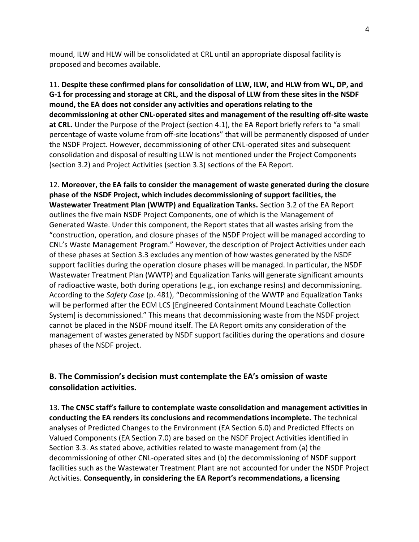mound, ILW and HLW will be consolidated at CRL until an appropriate disposal facility is proposed and becomes available.

11. Despite these confirmed plans for consolidation of LLW, ILW, and HLW from WL, DP, and G-1 for processing and storage at CRL, and the disposal of LLW from these sites in the NSDF mound, the EA does not consider any activities and operations relating to the decommissioning at other CNL-operated sites and management of the resulting off-site waste at CRL. Under the Purpose of the Project (section 4.1), the EA Report briefly refers to "a small percentage of waste volume from off-site locations" that will be permanently disposed of under the NSDF Project. However, decommissioning of other CNL-operated sites and subsequent consolidation and disposal of resulting LLW is not mentioned under the Project Components (section 3.2) and Project Activities (section 3.3) sections of the EA Report.

12. Moreover, the EA fails to consider the management of waste generated during the closure phase of the NSDF Project, which includes decommissioning of support facilities, the Wastewater Treatment Plan (WWTP) and Equalization Tanks. Section 3.2 of the EA Report outlines the five main NSDF Project Components, one of which is the Management of Generated Waste. Under this component, the Report states that all wastes arising from the "construction, operation, and closure phases of the NSDF Project will be managed according to CNL's Waste Management Program." However, the description of Project Activities under each of these phases at Section 3.3 excludes any mention of how wastes generated by the NSDF support facilities during the operation closure phases will be managed. In particular, the NSDF Wastewater Treatment Plan (WWTP) and Equalization Tanks will generate significant amounts of radioactive waste, both during operations (e.g., ion exchange resins) and decommissioning. According to the Safety Case (p. 481), "Decommissioning of the WWTP and Equalization Tanks will be performed after the ECM LCS [Engineered Containment Mound Leachate Collection System] is decommissioned." This means that decommissioning waste from the NSDF project cannot be placed in the NSDF mound itself. The EA Report omits any consideration of the management of wastes generated by NSDF support facilities during the operations and closure phases of the NSDF project.

## B. The Commission's decision must contemplate the EA's omission of waste consolidation activities.

13. The CNSC staff's failure to contemplate waste consolidation and management activities in conducting the EA renders its conclusions and recommendations incomplete. The technical analyses of Predicted Changes to the Environment (EA Section 6.0) and Predicted Effects on Valued Components (EA Section 7.0) are based on the NSDF Project Activities identified in Section 3.3. As stated above, activities related to waste management from (a) the decommissioning of other CNL-operated sites and (b) the decommissioning of NSDF support facilities such as the Wastewater Treatment Plant are not accounted for under the NSDF Project Activities. Consequently, in considering the EA Report's recommendations, a licensing